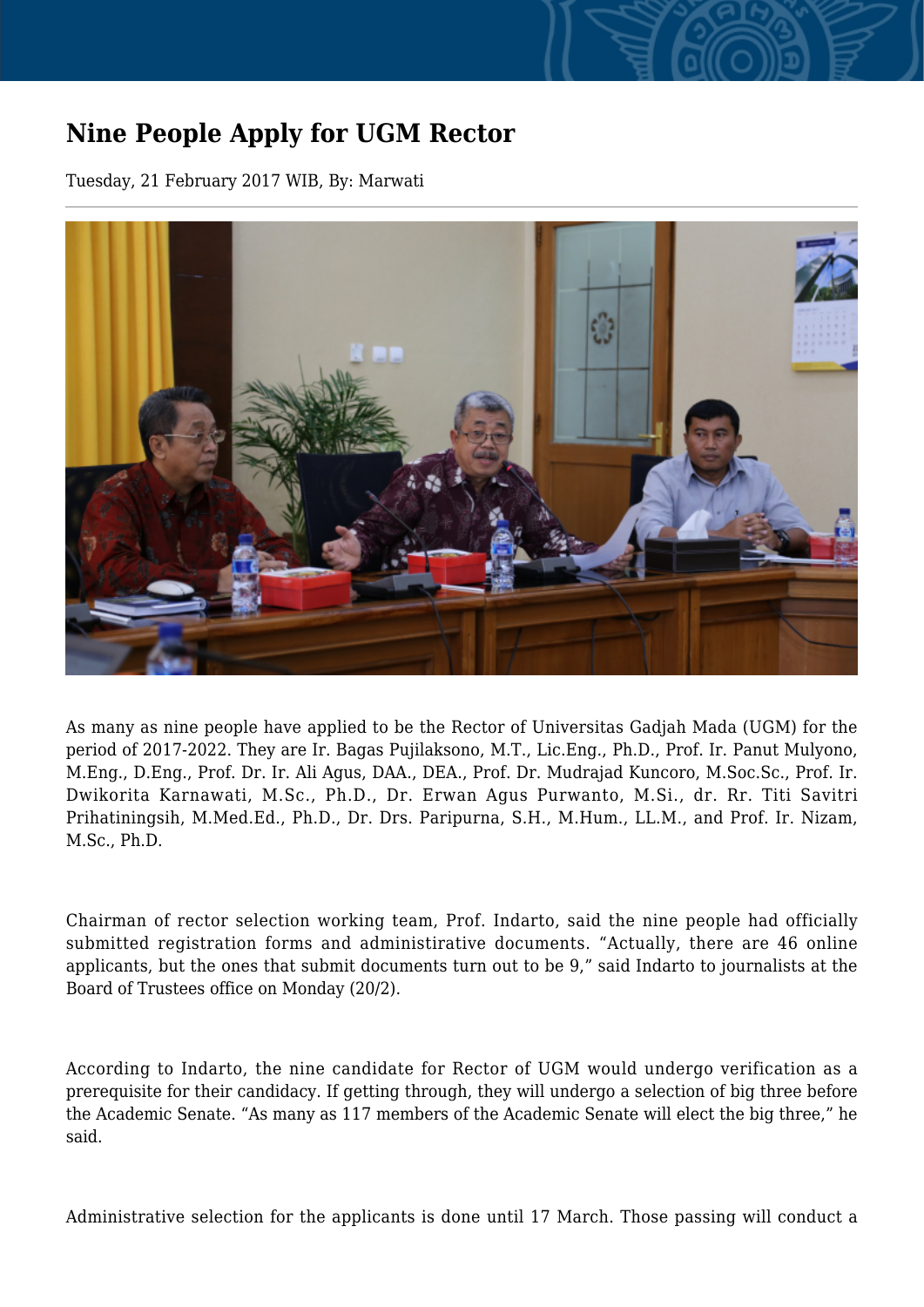## **Nine People Apply for UGM Rector**

Tuesday, 21 February 2017 WIB, By: Marwati



As many as nine people have applied to be the Rector of Universitas Gadjah Mada (UGM) for the period of 2017-2022. They are Ir. Bagas Pujilaksono, M.T., Lic.Eng., Ph.D., Prof. Ir. Panut Mulyono, M.Eng., D.Eng., Prof. Dr. Ir. Ali Agus, DAA., DEA., Prof. Dr. Mudrajad Kuncoro, M.Soc.Sc., Prof. Ir. Dwikorita Karnawati, M.Sc., Ph.D., Dr. Erwan Agus Purwanto, M.Si., dr. Rr. Titi Savitri Prihatiningsih, M.Med.Ed., Ph.D., Dr. Drs. Paripurna, S.H., M.Hum., LL.M., and Prof. Ir. Nizam, M.Sc., Ph.D.

Chairman of rector selection working team, Prof. Indarto, said the nine people had officially submitted registration forms and administirative documents. "Actually, there are 46 online applicants, but the ones that submit documents turn out to be 9," said Indarto to journalists at the Board of Trustees office on Monday (20/2).

According to Indarto, the nine candidate for Rector of UGM would undergo verification as a prerequisite for their candidacy. If getting through, they will undergo a selection of big three before the Academic Senate. "As many as 117 members of the Academic Senate will elect the big three," he said.

Administrative selection for the applicants is done until 17 March. Those passing will conduct a